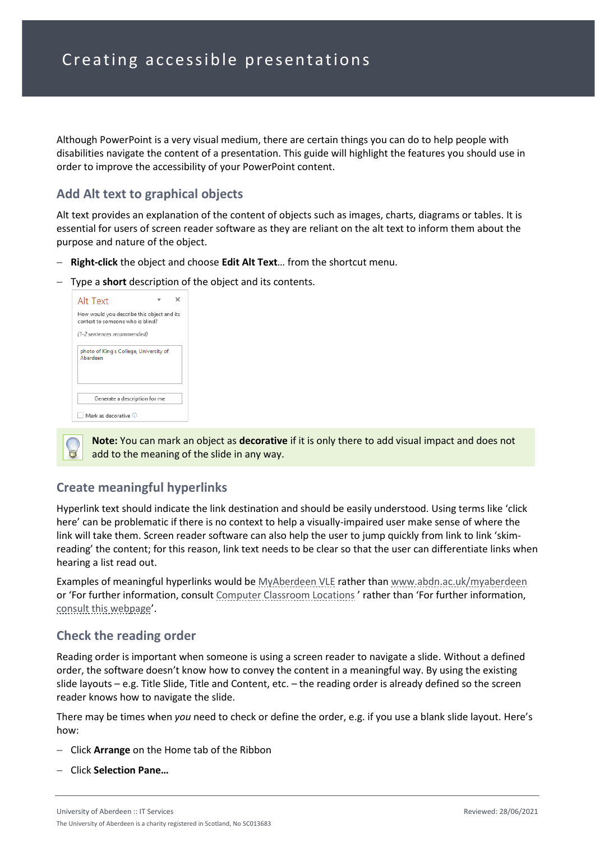Although PowerPoint is a very visual medium, there are certain things you can do to help people with disabilities navigate the content of a presentation. This guide will highlight the features you should use in order to improve the accessibility of your PowerPoint content.

#### **Add Alt text to graphical objects**

Alt text provides an explanation of the content of objects such as images, charts, diagrams or tables. It is essential for users of screen reader software as they are reliant on the alt text to inform them about the purpose and nature of the object.

- − **Right-click** the object and choose **Edit Alt Text**… from the shortcut menu.
- − Type a **short** description of the object and its contents.

| Alt Text                                                                       |  |  |
|--------------------------------------------------------------------------------|--|--|
| How would you describe this object and its<br>context to someone who is blind? |  |  |
| (1-2 sentences recommended)                                                    |  |  |
| photo of King's College, University of<br>Aberdeen                             |  |  |
| Generate a description for me                                                  |  |  |
| Mark as decorative 0                                                           |  |  |

**Note:** You can mark an object as **decorative** if it is only there to add visual impact and does not add to the meaning of the slide in any way.

### **Create meaningful hyperlinks**

Hyperlink text should indicate the link destination and should be easily understood. Using terms like 'click here' can be problematic if there is no context to help a visually-impaired user make sense of where the link will take them. Screen reader software can also help the user to jump quickly from link to link 'skimreading' the content; for this reason, link text needs to be clear so that the user can differentiate links when hearing a list read out.

Examples of meaningful hyperlinks would b[e MyAberdeen VLE](http://www.abdn.ac.uk/myaberdeen) rather tha[n www.abdn.ac.uk/myaberdeen](http://www.abdn.ac.uk/myaberdeen) or 'For further information, consult [Computer Classroom Locations](https://www.abdn.ac.uk/students/student-life/study-spaces-4876.php#panel4891) ' rather than 'For further information, [consult this webpage](https://www.abdn.ac.uk/students/student-life/study-spaces-4876.php#panel4891)'.

### **Check the reading order**

Reading order is important when someone is using a screen reader to navigate a slide. Without a defined order, the software doesn't know how to convey the content in a meaningful way. By using the existing slide layouts – e.g. Title Slide, Title and Content, etc. – the reading order is already defined so the screen reader knows how to navigate the slide.

There may be times when *you* need to check or define the order, e.g. if you use a blank slide layout. Here's how:

- − Click **Arrange** on the Home tab of the Ribbon
- − Click **Selection Pane…**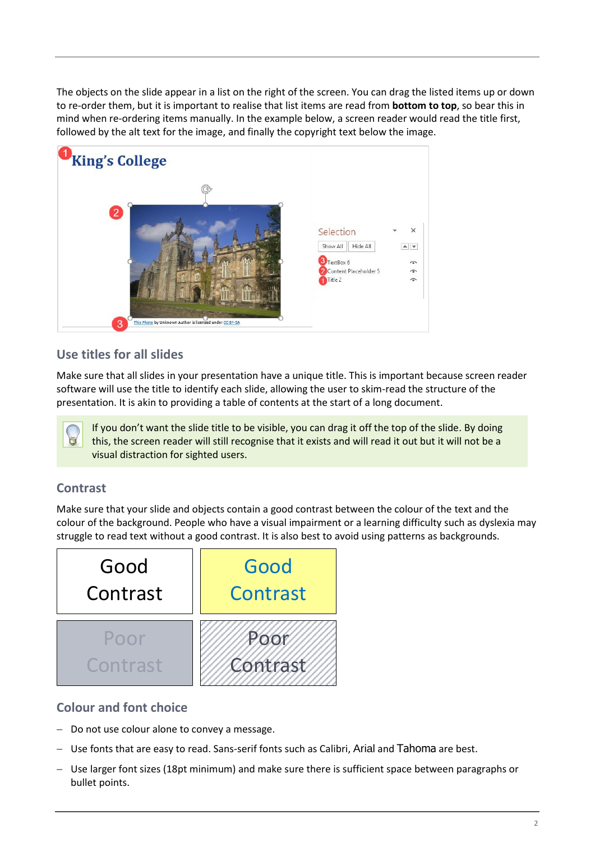The objects on the slide appear in a list on the right of the screen. You can drag the listed items up or down to re-order them, but it is important to realise that list items are read from **bottom to top**, so bear this in mind when re-ordering items manually. In the example below, a screen reader would read the title first, followed by the alt text for the image, and finally the copyright text below the image.



# **Use titles for all slides**

Make sure that all slides in your presentation have a unique title. This is important because screen reader software will use the title to identify each slide, allowing the user to skim-read the structure of the presentation. It is akin to providing a table of contents at the start of a long document.

If you don't want the slide title to be visible, you can drag it off the top of the slide. By doing this, the screen reader will still recognise that it exists and will read it out but it will not be a visual distraction for sighted users.

### **Contrast**

Make sure that your slide and objects contain a good contrast between the colour of the text and the colour of the background. People who have a visual impairment or a learning difficulty such as dyslexia may struggle to read text without a good contrast. It is also best to avoid using patterns as backgrounds.



### **Colour and font choice**

- − Do not use colour alone to convey a message.
- − Use fonts that are easy to read. Sans-serif fonts such as Calibri, Arial and Tahoma are best.
- − Use larger font sizes (18pt minimum) and make sure there is sufficient space between paragraphs or bullet points.